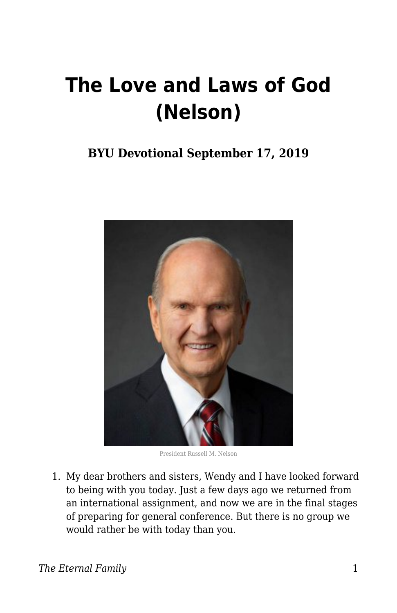# **The Love and Laws of God (Nelson)**

#### **BYU Devotional September 17, 2019**



President Russell M. Nelson

1. My dear brothers and sisters, Wendy and I have looked forward to being with you today. Just a few days ago we returned from an international assignment, and now we are in the final stages of preparing for general conference. But there is no group we would rather be with today than you.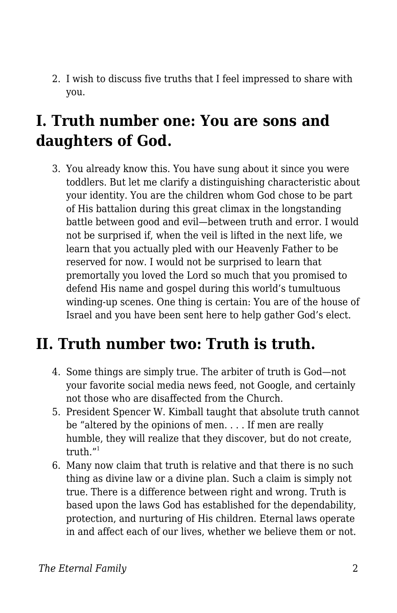2. I wish to discuss five truths that I feel impressed to share with you.

#### **I. Truth number one: You are sons and daughters of God.**

3. You already know this. You have sung about it since you were toddlers. But let me clarify a distinguishing characteristic about your identity. You are the children whom God chose to be part of His battalion during this great climax in the longstanding battle between good and evil—between truth and error. I would not be surprised if, when the veil is lifted in the next life, we learn that you actually pled with our Heavenly Father to be reserved for now. I would not be surprised to learn that premortally you loved the Lord so much that you promised to defend His name and gospel during this world's tumultuous winding-up scenes. One thing is certain: You are of the house of Israel and you have been sent here to help gather God's elect.

## **II. Truth number two: Truth is truth.**

- 4. Some things are simply true. The arbiter of truth is God—not your favorite social media news feed, not Google, and certainly not those who are disaffected from the Church.
- 5. President Spencer W. Kimball taught that absolute truth cannot be "altered by the opinions of men. . . . If men are really humble, they will realize that they discover, but do not create, truth $^{\prime\prime1}$
- 6. Many now claim that truth is relative and that there is no such thing as divine law or a divine plan. Such a claim is simply not true. There is a difference between right and wrong. Truth is based upon the laws God has established for the dependability, protection, and nurturing of His children. Eternal laws operate in and affect each of our lives, whether we believe them or not.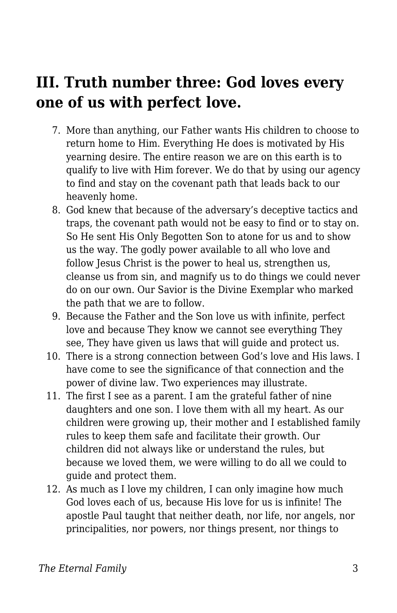#### **III. Truth number three: God loves every one of us with perfect love.**

- 7. More than anything, our Father wants His children to choose to return home to Him. Everything He does is motivated by His yearning desire. The entire reason we are on this earth is to qualify to live with Him forever. We do that by using our agency to find and stay on the covenant path that leads back to our heavenly home.
- 8. God knew that because of the adversary's deceptive tactics and traps, the covenant path would not be easy to find or to stay on. So He sent His Only Begotten Son to atone for us and to show us the way. The godly power available to all who love and follow Jesus Christ is the power to heal us, strengthen us, cleanse us from sin, and magnify us to do things we could never do on our own. Our Savior is the Divine Exemplar who marked the path that we are to follow.
- 9. Because the Father and the Son love us with infinite, perfect love and because They know we cannot see everything They see, They have given us laws that will guide and protect us.
- 10. There is a strong connection between God's love and His laws. I have come to see the significance of that connection and the power of divine law. Two experiences may illustrate.
- 11. The first I see as a parent. I am the grateful father of nine daughters and one son. I love them with all my heart. As our children were growing up, their mother and I established family rules to keep them safe and facilitate their growth. Our children did not always like or understand the rules, but because we loved them, we were willing to do all we could to guide and protect them.
- 12. As much as I love my children, I can only imagine how much God loves each of us, because His love for us is infinite! The apostle Paul taught that neither death, nor life, nor angels, nor principalities, nor powers, nor things present, nor things to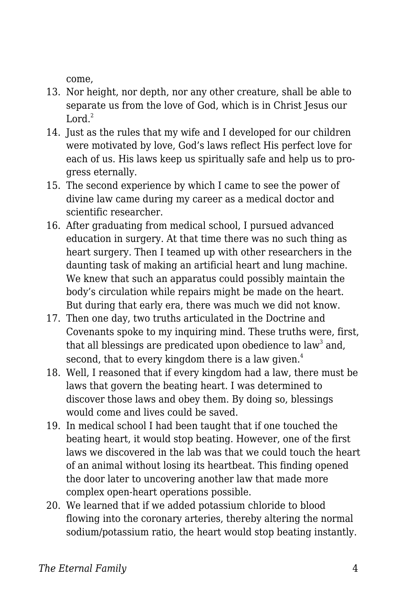come,

- 13. Nor height, nor depth, nor any other creature, shall be able to separate us from the love of God, which is in Christ Jesus our Lord $^2$
- 14. Just as the rules that my wife and I developed for our children were motivated by love, God's laws reflect His perfect love for each of us. His laws keep us spiritually safe and help us to progress eternally.
- 15. The second experience by which I came to see the power of divine law came during my career as a medical doctor and scientific researcher.
- 16. After graduating from medical school, I pursued advanced education in surgery. At that time there was no such thing as heart surgery. Then I teamed up with other researchers in the daunting task of making an artificial heart and lung machine. We knew that such an apparatus could possibly maintain the body's circulation while repairs might be made on the heart. But during that early era, there was much we did not know.
- 17. Then one day, two truths articulated in the Doctrine and Covenants spoke to my inquiring mind. These truths were, first, that all blessings are predicated upon obedience to law $^3$  and, second, that to every kingdom there is a law given.<sup>4</sup>
- 18. Well, I reasoned that if every kingdom had a law, there must be laws that govern the beating heart. I was determined to discover those laws and obey them. By doing so, blessings would come and lives could be saved.
- 19. In medical school I had been taught that if one touched the beating heart, it would stop beating. However, one of the first laws we discovered in the lab was that we could touch the heart of an animal without losing its heartbeat. This finding opened the door later to uncovering another law that made more complex open-heart operations possible.
- 20. We learned that if we added potassium chloride to blood flowing into the coronary arteries, thereby altering the normal sodium/potassium ratio, the heart would stop beating instantly.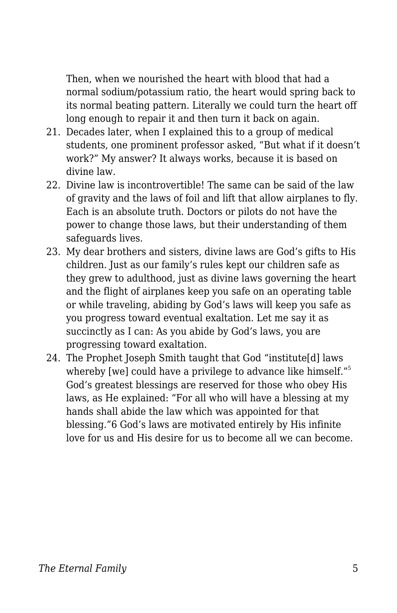Then, when we nourished the heart with blood that had a normal sodium/potassium ratio, the heart would spring back to its normal beating pattern. Literally we could turn the heart off long enough to repair it and then turn it back on again.

- 21. Decades later, when I explained this to a group of medical students, one prominent professor asked, "But what if it doesn't work?" My answer? It always works, because it is based on divine law.
- 22. Divine law is incontrovertible! The same can be said of the law of gravity and the laws of foil and lift that allow airplanes to fly. Each is an absolute truth. Doctors or pilots do not have the power to change those laws, but their understanding of them safeguards lives.
- 23. My dear brothers and sisters, divine laws are God's gifts to His children. Just as our family's rules kept our children safe as they grew to adulthood, just as divine laws governing the heart and the flight of airplanes keep you safe on an operating table or while traveling, abiding by God's laws will keep you safe as you progress toward eventual exaltation. Let me say it as succinctly as I can: As you abide by God's laws, you are progressing toward exaltation.
- 24. The Prophet Joseph Smith taught that God "institute[d] laws whereby [we] could have a privilege to advance like himself."<sup>5</sup> God's greatest blessings are reserved for those who obey His laws, as He explained: "For all who will have a blessing at my hands shall abide the law which was appointed for that blessing."6 God's laws are motivated entirely by His infinite love for us and His desire for us to become all we can become.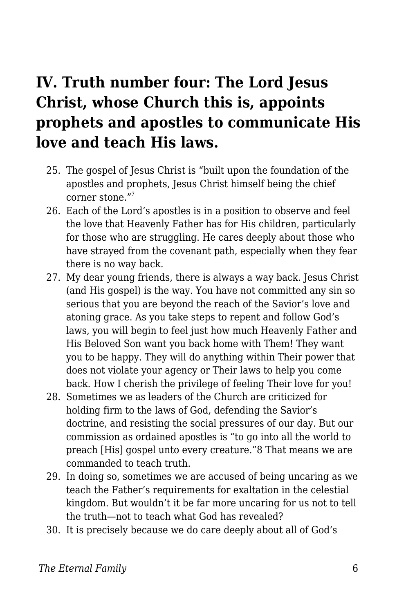## **IV. Truth number four: The Lord Jesus Christ, whose Church this is, appoints prophets and apostles to communicate His love and teach His laws.**

- 25. The gospel of Jesus Christ is "built upon the foundation of the apostles and prophets, Jesus Christ himself being the chief corner stone."<sup>7</sup>
- 26. Each of the Lord's apostles is in a position to observe and feel the love that Heavenly Father has for His children, particularly for those who are struggling. He cares deeply about those who have strayed from the covenant path, especially when they fear there is no way back.
- 27. My dear young friends, there is always a way back. Jesus Christ (and His gospel) is the way. You have not committed any sin so serious that you are beyond the reach of the Savior's love and atoning grace. As you take steps to repent and follow God's laws, you will begin to feel just how much Heavenly Father and His Beloved Son want you back home with Them! They want you to be happy. They will do anything within Their power that does not violate your agency or Their laws to help you come back. How I cherish the privilege of feeling Their love for you!
- 28. Sometimes we as leaders of the Church are criticized for holding firm to the laws of God, defending the Savior's doctrine, and resisting the social pressures of our day. But our commission as ordained apostles is "to go into all the world to preach [His] gospel unto every creature."8 That means we are commanded to teach truth.
- 29. In doing so, sometimes we are accused of being uncaring as we teach the Father's requirements for exaltation in the celestial kingdom. But wouldn't it be far more uncaring for us not to tell the truth—not to teach what God has revealed?
- 30. It is precisely because we do care deeply about all of God's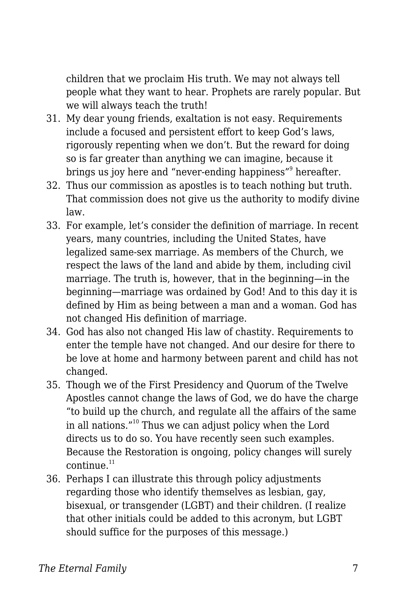children that we proclaim His truth. We may not always tell people what they want to hear. Prophets are rarely popular. But we will always teach the truth!

- 31. My dear young friends, exaltation is not easy. Requirements include a focused and persistent effort to keep God's laws, rigorously repenting when we don't. But the reward for doing so is far greater than anything we can imagine, because it brings us joy here and "never-ending happiness"<sup>9</sup> hereafter.
- 32. Thus our commission as apostles is to teach nothing but truth. That commission does not give us the authority to modify divine law.
- 33. For example, let's consider the definition of marriage. In recent years, many countries, including the United States, have legalized same-sex marriage. As members of the Church, we respect the laws of the land and abide by them, including civil marriage. The truth is, however, that in the beginning—in the beginning—marriage was ordained by God! And to this day it is defined by Him as being between a man and a woman. God has not changed His definition of marriage.
- 34. God has also not changed His law of chastity. Requirements to enter the temple have not changed. And our desire for there to be love at home and harmony between parent and child has not changed.
- 35. Though we of the First Presidency and Quorum of the Twelve Apostles cannot change the laws of God, we do have the charge "to build up the church, and regulate all the affairs of the same in all nations."<sup>10</sup> Thus we can adjust policy when the Lord directs us to do so. You have recently seen such examples. Because the Restoration is ongoing, policy changes will surely  $\text{continua}^{11}$
- 36. Perhaps I can illustrate this through policy adjustments regarding those who identify themselves as lesbian, gay, bisexual, or transgender (LGBT) and their children. (I realize that other initials could be added to this acronym, but LGBT should suffice for the purposes of this message.)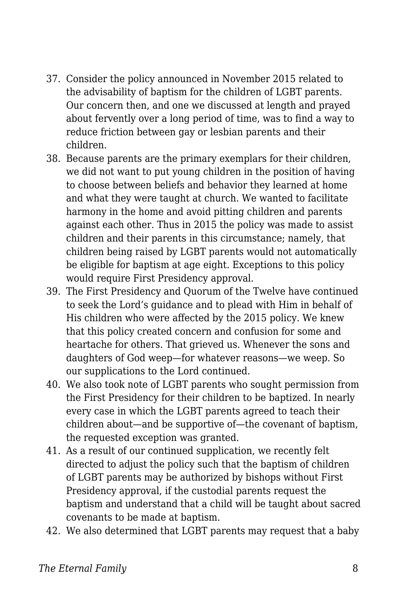- 37. Consider the policy announced in November 2015 related to the advisability of baptism for the children of LGBT parents. Our concern then, and one we discussed at length and prayed about fervently over a long period of time, was to find a way to reduce friction between gay or lesbian parents and their children.
- 38. Because parents are the primary exemplars for their children, we did not want to put young children in the position of having to choose between beliefs and behavior they learned at home and what they were taught at church. We wanted to facilitate harmony in the home and avoid pitting children and parents against each other. Thus in 2015 the policy was made to assist children and their parents in this circumstance; namely, that children being raised by LGBT parents would not automatically be eligible for baptism at age eight. Exceptions to this policy would require First Presidency approval.
- 39. The First Presidency and Quorum of the Twelve have continued to seek the Lord's guidance and to plead with Him in behalf of His children who were affected by the 2015 policy. We knew that this policy created concern and confusion for some and heartache for others. That grieved us. Whenever the sons and daughters of God weep—for whatever reasons—we weep. So our supplications to the Lord continued.
- 40. We also took note of LGBT parents who sought permission from the First Presidency for their children to be baptized. In nearly every case in which the LGBT parents agreed to teach their children about—and be supportive of—the covenant of baptism, the requested exception was granted.
- 41. As a result of our continued supplication, we recently felt directed to adjust the policy such that the baptism of children of LGBT parents may be authorized by bishops without First Presidency approval, if the custodial parents request the baptism and understand that a child will be taught about sacred covenants to be made at baptism.
- 42. We also determined that LGBT parents may request that a baby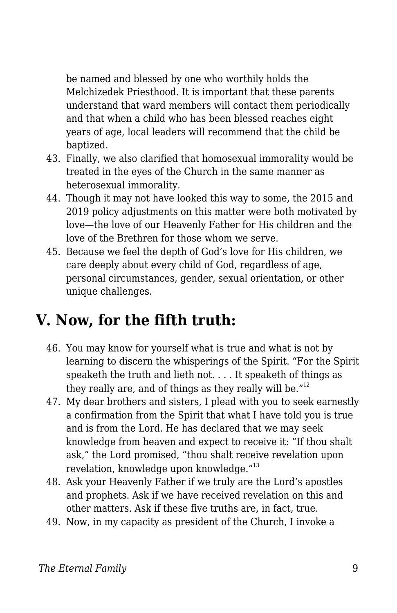be named and blessed by one who worthily holds the Melchizedek Priesthood. It is important that these parents understand that ward members will contact them periodically and that when a child who has been blessed reaches eight years of age, local leaders will recommend that the child be baptized.

- 43. Finally, we also clarified that homosexual immorality would be treated in the eyes of the Church in the same manner as heterosexual immorality.
- 44. Though it may not have looked this way to some, the 2015 and 2019 policy adjustments on this matter were both motivated by love—the love of our Heavenly Father for His children and the love of the Brethren for those whom we serve.
- 45. Because we feel the depth of God's love for His children, we care deeply about every child of God, regardless of age, personal circumstances, gender, sexual orientation, or other unique challenges.

## **V. Now, for the fifth truth:**

- 46. You may know for yourself what is true and what is not by learning to discern the whisperings of the Spirit. "For the Spirit speaketh the truth and lieth not. . . . It speaketh of things as they really are, and of things as they really will be. $"^{12}$
- 47. My dear brothers and sisters, I plead with you to seek earnestly a confirmation from the Spirit that what I have told you is true and is from the Lord. He has declared that we may seek knowledge from heaven and expect to receive it: "If thou shalt ask," the Lord promised, "thou shalt receive revelation upon revelation, knowledge upon knowledge."<sup>13</sup>
- 48. Ask your Heavenly Father if we truly are the Lord's apostles and prophets. Ask if we have received revelation on this and other matters. Ask if these five truths are, in fact, true.
- 49. Now, in my capacity as president of the Church, I invoke a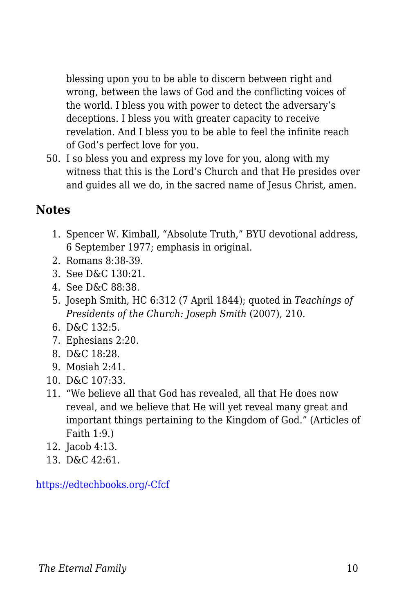blessing upon you to be able to discern between right and wrong, between the laws of God and the conflicting voices of the world. I bless you with power to detect the adversary's deceptions. I bless you with greater capacity to receive revelation. And I bless you to be able to feel the infinite reach of God's perfect love for you.

50. I so bless you and express my love for you, along with my witness that this is the Lord's Church and that He presides over and guides all we do, in the sacred name of Jesus Christ, amen.

#### **Notes**

- 1. Spencer W. Kimball, "Absolute Truth," BYU devotional address, 6 September 1977; emphasis in original.
- 2. Romans 8:38-39.
- 3. See D&C 130:21.
- 4. See D&C 88:38.
- 5. Joseph Smith, HC 6:312 (7 April 1844); quoted in *Teachings of Presidents of the Church: Joseph Smith* (2007), 210.
- 6. D&C 132:5.
- 7. Ephesians 2:20.
- 8. D&C 18:28.
- 9. Mosiah 2:41.
- 10. D&C 107:33.
- 11. "We believe all that God has revealed, all that He does now reveal, and we believe that He will yet reveal many great and important things pertaining to the Kingdom of God." (Articles of Faith 1:9.)
- 12. Jacob 4:13.
- 13. D&C 42:61.

[https://edtechbooks.org/-Cfcf](https://speeches.byu.edu/talks/russell-m-nelson/love-laws-god/)